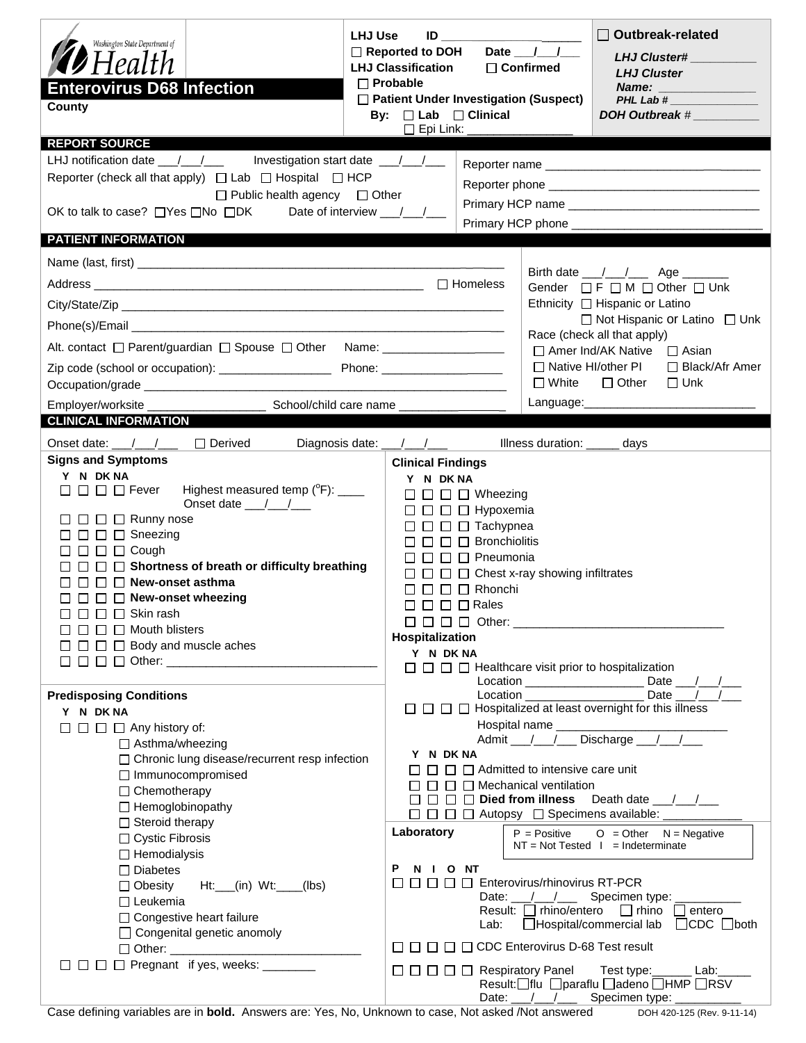| Washington State Department of<br><b>7</b> Health<br><b>Enterovirus D68 Infection</b><br>County                                                                                                                                                                                                                                                                                                                                                                                                                                                                        | <b>LHJ Use</b><br>$\begin{picture}(180,10) \put(0,0){\line(1,0){10}} \put(15,0){\line(1,0){10}} \put(15,0){\line(1,0){10}} \put(15,0){\line(1,0){10}} \put(15,0){\line(1,0){10}} \put(15,0){\line(1,0){10}} \put(15,0){\line(1,0){10}} \put(15,0){\line(1,0){10}} \put(15,0){\line(1,0){10}} \put(15,0){\line(1,0){10}} \put(15,0){\line(1,0){10}} \put(15,0){\line($<br>□ Reported to DOH<br><b>LHJ Classification</b><br>$\Box$ Probable<br>□ Patient Under Investigation (Suspect)<br>By: $\Box$ Lab $\Box$ Clinical<br>$\square$ Epi Link: $\square$ | $\Box$ Outbreak-related<br>Date $11$<br><b>LHJ Cluster#</b><br>$\Box$ Confirmed<br><b>LHJ Cluster</b><br>Name: Annual Marine and Albert Street and Albert Street and Albert Street and Albert Street and Albert Street<br>PHL Lab #<br>DOH Outbreak #                                                                                                                                                                                                                                                                                                            |  |  |  |  |  |
|------------------------------------------------------------------------------------------------------------------------------------------------------------------------------------------------------------------------------------------------------------------------------------------------------------------------------------------------------------------------------------------------------------------------------------------------------------------------------------------------------------------------------------------------------------------------|----------------------------------------------------------------------------------------------------------------------------------------------------------------------------------------------------------------------------------------------------------------------------------------------------------------------------------------------------------------------------------------------------------------------------------------------------------------------------------------------------------------------------------------------------------|------------------------------------------------------------------------------------------------------------------------------------------------------------------------------------------------------------------------------------------------------------------------------------------------------------------------------------------------------------------------------------------------------------------------------------------------------------------------------------------------------------------------------------------------------------------|--|--|--|--|--|
| <b>REPORT SOURCE</b><br>LHJ notification date __/__/___ Investigation start date __/__/__<br>Reporter (check all that apply) $\Box$ Lab $\Box$ Hospital $\Box$ HCP<br>$\Box$ Public health agency $\Box$ Other<br>OK to talk to case? □Yes □No □DK                                                                                                                                                                                                                                                                                                                     | Date of interview / /                                                                                                                                                                                                                                                                                                                                                                                                                                                                                                                                    |                                                                                                                                                                                                                                                                                                                                                                                                                                                                                                                                                                  |  |  |  |  |  |
| <b>PATIENT INFORMATION</b><br>Alt. contact □ Parent/guardian □ Spouse □ Other Name: _________________________<br>Employer/worksite ______<br>School/child care name ____<br><b>CLINICAL INFORMATION</b>                                                                                                                                                                                                                                                                                                                                                                |                                                                                                                                                                                                                                                                                                                                                                                                                                                                                                                                                          | Birth date __/__/___ Age ______<br>Gender □F□M□Other□Unk<br>Ethnicity □ Hispanic or Latino<br>$\Box$ Not Hispanic or Latino $\Box$ Unk<br>Race (check all that apply)<br>$\Box$ Amer Ind/AK Native $\Box$ Asian<br>□ Native HI/other PI □ Black/Afr Amer<br>$\Box$ Other $\Box$ Unk<br>$\square$ White<br>Language: $\sqrt{2}$                                                                                                                                                                                                                                   |  |  |  |  |  |
| Onset date: __/__/___ □ Derived<br><b>Signs and Symptoms</b><br>Y N DK NA<br>Highest measured temp (°F): ____<br>$\square$ $\square$ $\square$ Fever<br>Onset date $\frac{1}{\sqrt{1-\frac{1}{2}}}$<br>$\Box$ $\Box$ $\Box$ $\Box$ Runny nose<br>$\Box$ $\Box$ $\Box$ Sneezing<br>$\Box$ $\Box$ $\Box$ Cough<br>$\Box$ $\Box$ $\Box$ Shortness of breath or difficulty breathing<br>$\Box$ $\Box$ New-onset asthma<br>$\Box$ $\Box$ $\Box$ New-onset wheezing<br>$\Box$ $\Box$ Skin rash<br>$\Box$ $\Box$ Mouth blisters<br>$\Box$ $\Box$ $\Box$ Body and muscle aches | Diagnosis date: ___/___/___<br>Illness duration: _____ days<br><b>Clinical Findings</b><br>Y N DK NA<br>$\Box$ $\Box$ $\Box$ Wheezing<br>$\Box$ $\Box$ $\Box$ Hypoxemia<br>$\Box$ $\Box$ $\Box$ Tachypnea<br>$\Box$ $\Box$ Bronchiolitis<br>$\square$ $\square$ $\square$ Pneumonia<br>$\Box$ $\Box$ $\Box$ Chest x-ray showing infiltrates<br>$\square$ $\square$ $\square$ Rhonchi<br>$\Box$ $\Box$ $\Box$ Rales<br>Hospitalization<br>Y N DK NA                                                                                                       |                                                                                                                                                                                                                                                                                                                                                                                                                                                                                                                                                                  |  |  |  |  |  |
| <b>Predisposing Conditions</b><br>Y N DK NA<br>$\Box$ $\Box$ $\Box$ $\Box$ Any history of:<br>□ Asthma/wheezing<br>□ Chronic lung disease/recurrent resp infection<br>□ Immunocompromised<br>□ Chemotherapy<br>$\Box$ Hemoglobinopathy<br>$\Box$ Steroid therapy<br>□ Cystic Fibrosis<br>$\Box$ Hemodialysis<br>$\Box$ Diabetes<br>$\Box$ Obesity<br>$Ht:$ (in) $Wt:$ (lbs)<br>$\Box$ Leukemia<br>□ Congestive heart failure<br>$\Box$ Congenital genetic anomoly<br>$\Box$ $\Box$ $\Box$ $\Box$ Pregnant if yes, weeks: _______                                       | Y N DK NA<br>□□<br>Laboratory<br>P<br>N I ONT<br>00000                                                                                                                                                                                                                                                                                                                                                                                                                                                                                                   | □ □ □ B Hospitalized at least overnight for this illness<br>Admit / / Discharge / /<br>$\Box$ $\Box$ Admitted to intensive care unit<br>$\Box$ Mechanical ventilation<br>$\Box$ $\Box$ Died from illness Death date $\Box$<br>$O = Other$ $N = Negative$<br>$P = Positive$<br>$NT = Not Tested 1 = Indeterminate$<br>Enterovirus/rhinovirus RT-PCR<br>Date: $\frac{1}{\sqrt{1-\frac{1}{2}}}$<br>Specimen type: _<br>Result: $\Box$ rhino/entero $\Box$ rhino $\Box$ entero<br>Lab: □Hospital/commercial lab □CDC □both<br>□□□□□□CDC Enterovirus D-68 Test result |  |  |  |  |  |
| Coop defining unrighten are in hald. Anougue are Vee No. Holingum to open Not gelead (Not appurented)                                                                                                                                                                                                                                                                                                                                                                                                                                                                  |                                                                                                                                                                                                                                                                                                                                                                                                                                                                                                                                                          | Result: flu   paraflu   adeno   HMP   RSV<br>Date: / / / Specimen type: _ _ _ _ _                                                                                                                                                                                                                                                                                                                                                                                                                                                                                |  |  |  |  |  |

Case defining variables are in **bold.** Answers are: Yes, No, Unknown to case, Not asked /Not answered DOH 420-125 (Rev. 9-11-14)